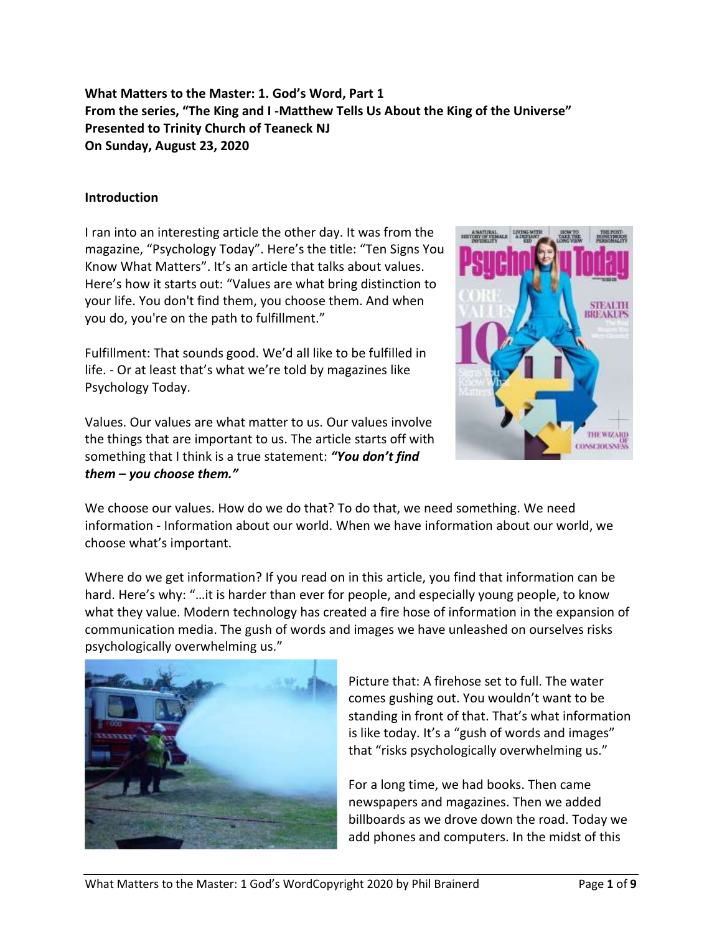**What Matters to the Master: 1. God's Word, Part 1 From the series, "The King and I -Matthew Tells Us About the King of the Universe" Presented to Trinity Church of Teaneck NJ On Sunday, August 23, 2020**

## **Introduction**

I ran into an interesting article the other day. It was from the magazine, "Psychology Today". Here's the title: "Ten Signs You Know What Matters". It's an article that talks about values. Here's how it starts out: "Values are what bring distinction to your life. You don't find them, you choose them. And when you do, you're on the path to fulfillment."

Fulfillment: That sounds good. We'd all like to be fulfilled in life. - Or at least that's what we're told by magazines like Psychology Today.

Values. Our values are what matter to us. Our values involve the things that are important to us. The article starts off with something that I think is a true statement: *"You don't find them – you choose them."*



We choose our values. How do we do that? To do that, we need something. We need information - Information about our world. When we have information about our world, we choose what's important.

Where do we get information? If you read on in this article, you find that information can be hard. Here's why: "…it is harder than ever for people, and especially young people, to know what they value. Modern technology has created a fire hose of information in the expansion of communication media. The gush of words and images we have unleashed on ourselves risks psychologically overwhelming us."



Picture that: A firehose set to full. The water comes gushing out. You wouldn't want to be standing in front of that. That's what information is like today. It's a "gush of words and images" that "risks psychologically overwhelming us."

For a long time, we had books. Then came newspapers and magazines. Then we added billboards as we drove down the road. Today we add phones and computers. In the midst of this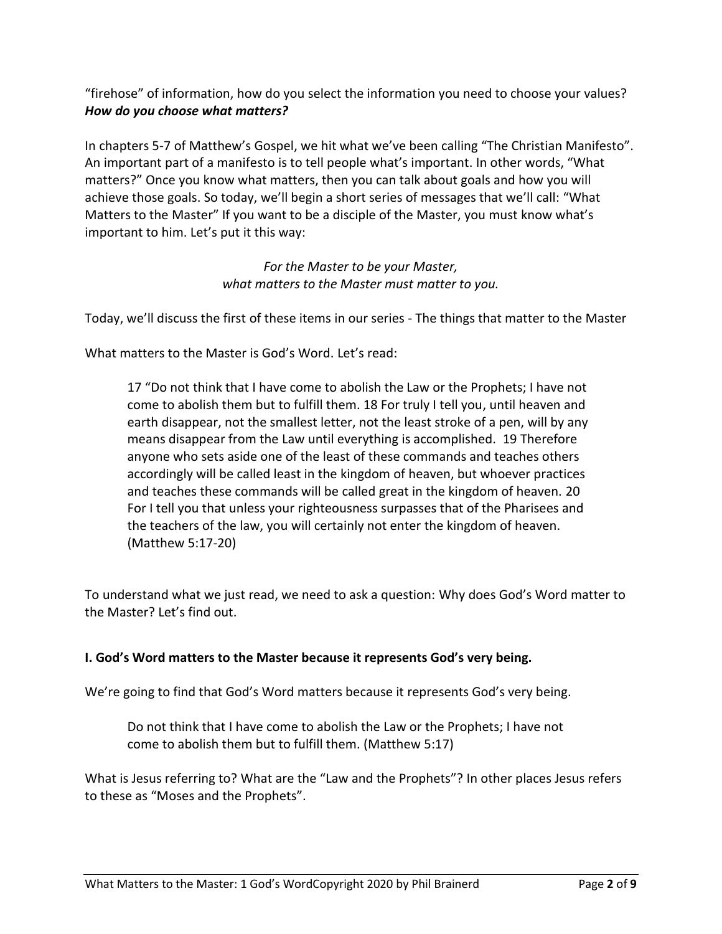"firehose" of information, how do you select the information you need to choose your values? *How do you choose what matters?*

In chapters 5-7 of Matthew's Gospel, we hit what we've been calling "The Christian Manifesto". An important part of a manifesto is to tell people what's important. In other words, "What matters?" Once you know what matters, then you can talk about goals and how you will achieve those goals. So today, we'll begin a short series of messages that we'll call: "What Matters to the Master" If you want to be a disciple of the Master, you must know what's important to him. Let's put it this way:

# *For the Master to be your Master, what matters to the Master must matter to you.*

Today, we'll discuss the first of these items in our series - The things that matter to the Master

What matters to the Master is God's Word. Let's read:

17 "Do not think that I have come to abolish the Law or the Prophets; I have not come to abolish them but to fulfill them. 18 For truly I tell you, until heaven and earth disappear, not the smallest letter, not the least stroke of a pen, will by any means disappear from the Law until everything is accomplished. 19 Therefore anyone who sets aside one of the least of these commands and teaches others accordingly will be called least in the kingdom of heaven, but whoever practices and teaches these commands will be called great in the kingdom of heaven. 20 For I tell you that unless your righteousness surpasses that of the Pharisees and the teachers of the law, you will certainly not enter the kingdom of heaven. (Matthew 5:17-20)

To understand what we just read, we need to ask a question: Why does God's Word matter to the Master? Let's find out.

# **I. God's Word matters to the Master because it represents God's very being.**

We're going to find that God's Word matters because it represents God's very being.

Do not think that I have come to abolish the Law or the Prophets; I have not come to abolish them but to fulfill them. (Matthew 5:17)

What is Jesus referring to? What are the "Law and the Prophets"? In other places Jesus refers to these as "Moses and the Prophets".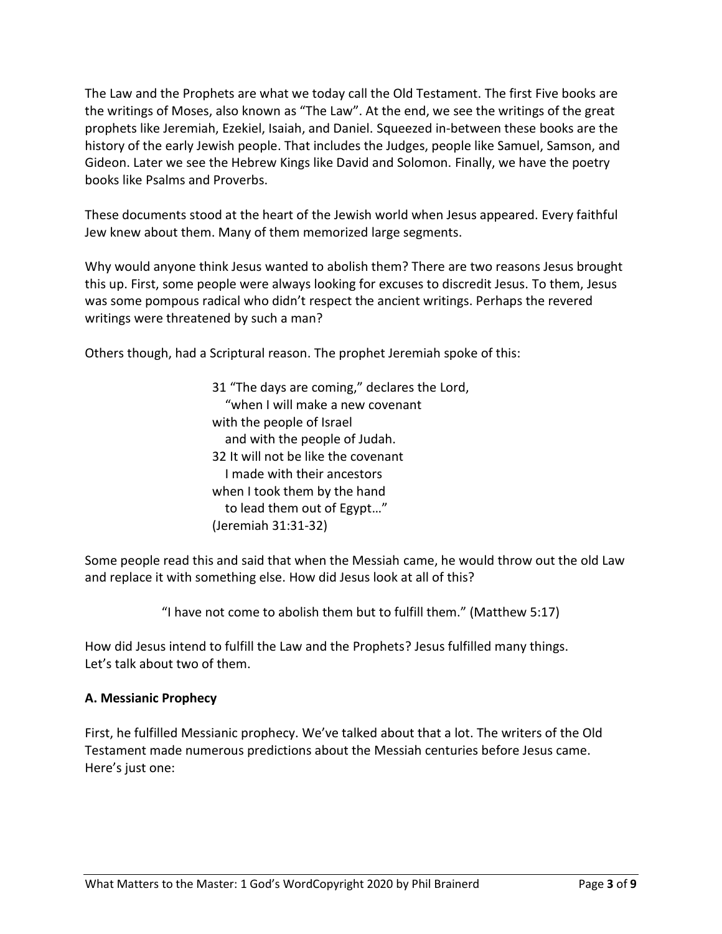The Law and the Prophets are what we today call the Old Testament. The first Five books are the writings of Moses, also known as "The Law". At the end, we see the writings of the great prophets like Jeremiah, Ezekiel, Isaiah, and Daniel. Squeezed in-between these books are the history of the early Jewish people. That includes the Judges, people like Samuel, Samson, and Gideon. Later we see the Hebrew Kings like David and Solomon. Finally, we have the poetry books like Psalms and Proverbs.

These documents stood at the heart of the Jewish world when Jesus appeared. Every faithful Jew knew about them. Many of them memorized large segments.

Why would anyone think Jesus wanted to abolish them? There are two reasons Jesus brought this up. First, some people were always looking for excuses to discredit Jesus. To them, Jesus was some pompous radical who didn't respect the ancient writings. Perhaps the revered writings were threatened by such a man?

Others though, had a Scriptural reason. The prophet Jeremiah spoke of this:

31 "The days are coming," declares the Lord, "when I will make a new covenant with the people of Israel and with the people of Judah. 32 It will not be like the covenant I made with their ancestors when I took them by the hand to lead them out of Egypt…" (Jeremiah 31:31-32)

Some people read this and said that when the Messiah came, he would throw out the old Law and replace it with something else. How did Jesus look at all of this?

"I have not come to abolish them but to fulfill them." (Matthew 5:17)

How did Jesus intend to fulfill the Law and the Prophets? Jesus fulfilled many things. Let's talk about two of them.

# **A. Messianic Prophecy**

First, he fulfilled Messianic prophecy. We've talked about that a lot. The writers of the Old Testament made numerous predictions about the Messiah centuries before Jesus came. Here's just one: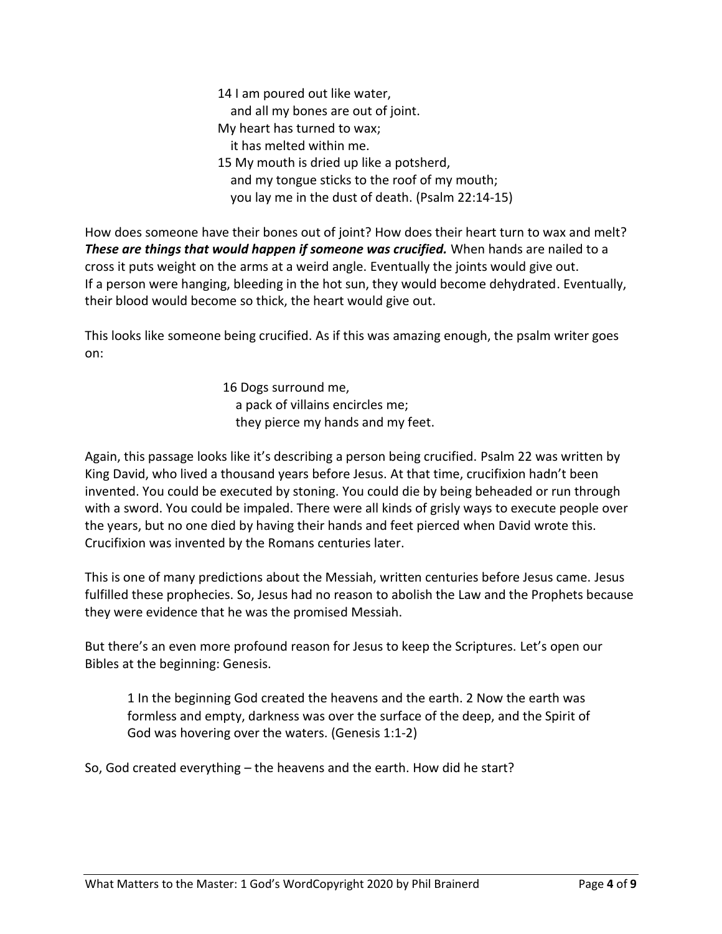14 I am poured out like water, and all my bones are out of joint. My heart has turned to wax; it has melted within me. 15 My mouth is dried up like a potsherd, and my tongue sticks to the roof of my mouth; you lay me in the dust of death. (Psalm 22:14-15)

How does someone have their bones out of joint? How does their heart turn to wax and melt? *These are things that would happen if someone was crucified.* When hands are nailed to a cross it puts weight on the arms at a weird angle. Eventually the joints would give out. If a person were hanging, bleeding in the hot sun, they would become dehydrated. Eventually, their blood would become so thick, the heart would give out.

This looks like someone being crucified. As if this was amazing enough, the psalm writer goes on:

> 16 Dogs surround me, a pack of villains encircles me; they pierce my hands and my feet.

Again, this passage looks like it's describing a person being crucified. Psalm 22 was written by King David, who lived a thousand years before Jesus. At that time, crucifixion hadn't been invented. You could be executed by stoning. You could die by being beheaded or run through with a sword. You could be impaled. There were all kinds of grisly ways to execute people over the years, but no one died by having their hands and feet pierced when David wrote this. Crucifixion was invented by the Romans centuries later.

This is one of many predictions about the Messiah, written centuries before Jesus came. Jesus fulfilled these prophecies. So, Jesus had no reason to abolish the Law and the Prophets because they were evidence that he was the promised Messiah.

But there's an even more profound reason for Jesus to keep the Scriptures. Let's open our Bibles at the beginning: Genesis.

1 In the beginning God created the heavens and the earth. 2 Now the earth was formless and empty, darkness was over the surface of the deep, and the Spirit of God was hovering over the waters. (Genesis 1:1-2)

So, God created everything – the heavens and the earth. How did he start?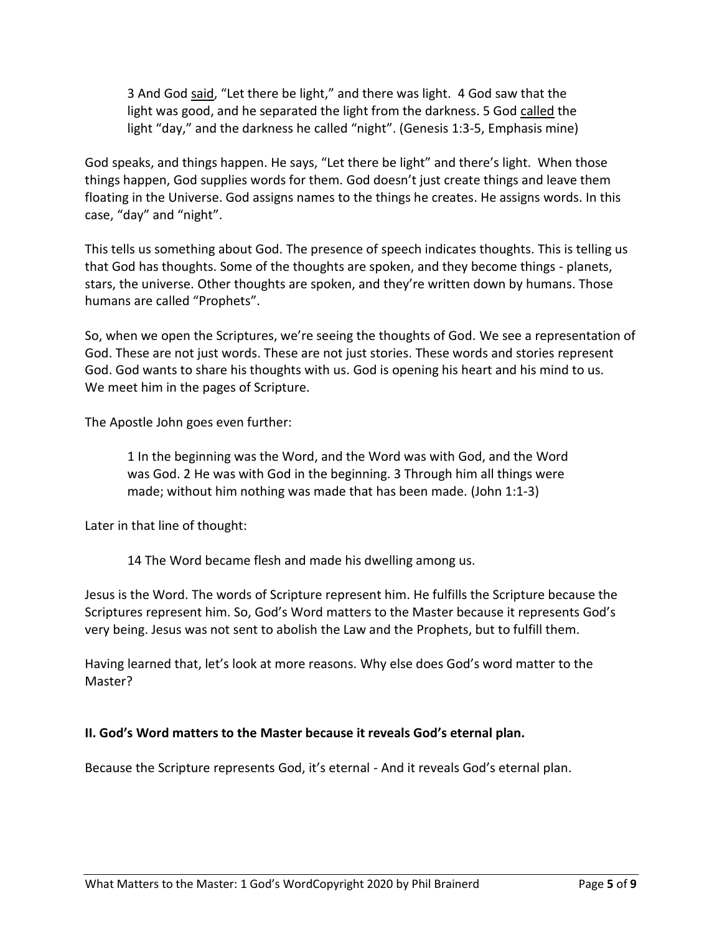3 And God said, "Let there be light," and there was light. 4 God saw that the light was good, and he separated the light from the darkness. 5 God called the light "day," and the darkness he called "night". (Genesis 1:3-5, Emphasis mine)

God speaks, and things happen. He says, "Let there be light" and there's light. When those things happen, God supplies words for them. God doesn't just create things and leave them floating in the Universe. God assigns names to the things he creates. He assigns words. In this case, "day" and "night".

This tells us something about God. The presence of speech indicates thoughts. This is telling us that God has thoughts. Some of the thoughts are spoken, and they become things - planets, stars, the universe. Other thoughts are spoken, and they're written down by humans. Those humans are called "Prophets".

So, when we open the Scriptures, we're seeing the thoughts of God. We see a representation of God. These are not just words. These are not just stories. These words and stories represent God. God wants to share his thoughts with us. God is opening his heart and his mind to us. We meet him in the pages of Scripture.

The Apostle John goes even further:

1 In the beginning was the Word, and the Word was with God, and the Word was God. 2 He was with God in the beginning. 3 Through him all things were made; without him nothing was made that has been made. (John 1:1-3)

Later in that line of thought:

14 The Word became flesh and made his dwelling among us.

Jesus is the Word. The words of Scripture represent him. He fulfills the Scripture because the Scriptures represent him. So, God's Word matters to the Master because it represents God's very being. Jesus was not sent to abolish the Law and the Prophets, but to fulfill them.

Having learned that, let's look at more reasons. Why else does God's word matter to the Master?

# **II. God's Word matters to the Master because it reveals God's eternal plan.**

Because the Scripture represents God, it's eternal - And it reveals God's eternal plan.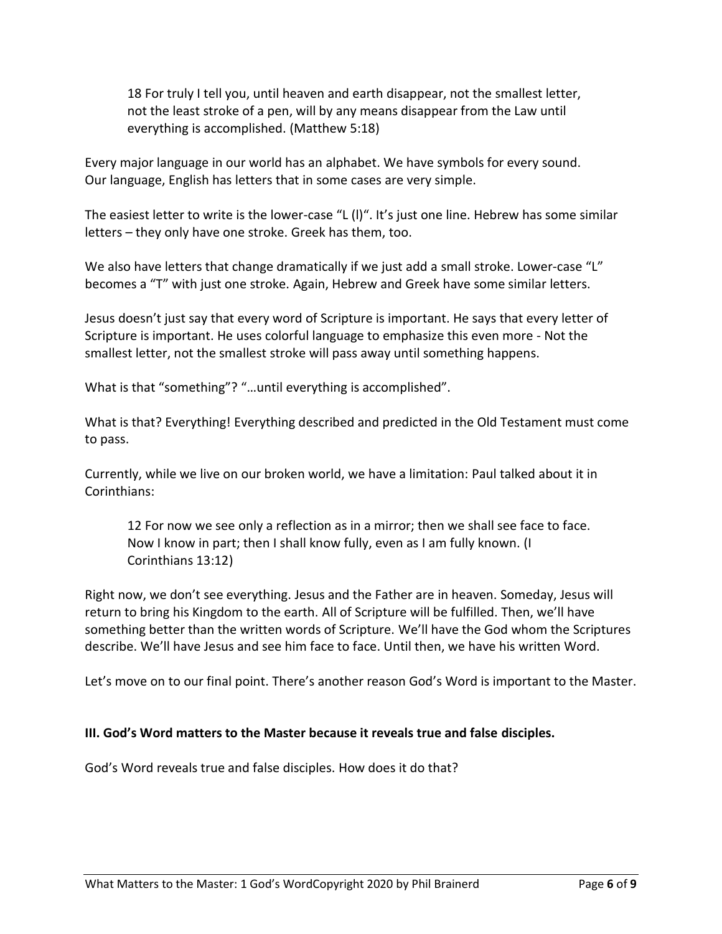18 For truly I tell you, until heaven and earth disappear, not the smallest letter, not the least stroke of a pen, will by any means disappear from the Law until everything is accomplished. (Matthew 5:18)

Every major language in our world has an alphabet. We have symbols for every sound. Our language, English has letters that in some cases are very simple.

The easiest letter to write is the lower-case "L (l)". It's just one line. Hebrew has some similar letters – they only have one stroke. Greek has them, too.

We also have letters that change dramatically if we just add a small stroke. Lower-case "L" becomes a "T" with just one stroke. Again, Hebrew and Greek have some similar letters.

Jesus doesn't just say that every word of Scripture is important. He says that every letter of Scripture is important. He uses colorful language to emphasize this even more - Not the smallest letter, not the smallest stroke will pass away until something happens.

What is that "something"? "…until everything is accomplished".

What is that? Everything! Everything described and predicted in the Old Testament must come to pass.

Currently, while we live on our broken world, we have a limitation: Paul talked about it in Corinthians:

12 For now we see only a reflection as in a mirror; then we shall see face to face. Now I know in part; then I shall know fully, even as I am fully known. (I Corinthians 13:12)

Right now, we don't see everything. Jesus and the Father are in heaven. Someday, Jesus will return to bring his Kingdom to the earth. All of Scripture will be fulfilled. Then, we'll have something better than the written words of Scripture. We'll have the God whom the Scriptures describe. We'll have Jesus and see him face to face. Until then, we have his written Word.

Let's move on to our final point. There's another reason God's Word is important to the Master.

# **III. God's Word matters to the Master because it reveals true and false disciples.**

God's Word reveals true and false disciples. How does it do that?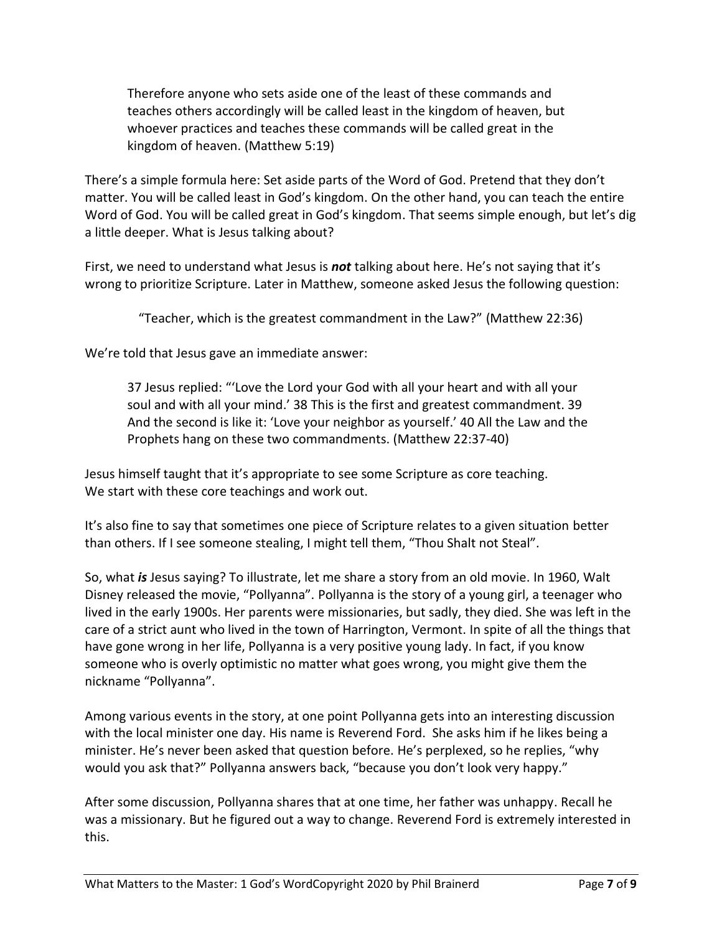Therefore anyone who sets aside one of the least of these commands and teaches others accordingly will be called least in the kingdom of heaven, but whoever practices and teaches these commands will be called great in the kingdom of heaven. (Matthew 5:19)

There's a simple formula here: Set aside parts of the Word of God. Pretend that they don't matter. You will be called least in God's kingdom. On the other hand, you can teach the entire Word of God. You will be called great in God's kingdom. That seems simple enough, but let's dig a little deeper. What is Jesus talking about?

First, we need to understand what Jesus is *not* talking about here. He's not saying that it's wrong to prioritize Scripture. Later in Matthew, someone asked Jesus the following question:

"Teacher, which is the greatest commandment in the Law?" (Matthew 22:36)

We're told that Jesus gave an immediate answer:

37 Jesus replied: "'Love the Lord your God with all your heart and with all your soul and with all your mind.' 38 This is the first and greatest commandment. 39 And the second is like it: 'Love your neighbor as yourself.' 40 All the Law and the Prophets hang on these two commandments. (Matthew 22:37-40)

Jesus himself taught that it's appropriate to see some Scripture as core teaching. We start with these core teachings and work out.

It's also fine to say that sometimes one piece of Scripture relates to a given situation better than others. If I see someone stealing, I might tell them, "Thou Shalt not Steal".

So, what *is* Jesus saying? To illustrate, let me share a story from an old movie. In 1960, Walt Disney released the movie, "Pollyanna". Pollyanna is the story of a young girl, a teenager who lived in the early 1900s. Her parents were missionaries, but sadly, they died. She was left in the care of a strict aunt who lived in the town of Harrington, Vermont. In spite of all the things that have gone wrong in her life, Pollyanna is a very positive young lady. In fact, if you know someone who is overly optimistic no matter what goes wrong, you might give them the nickname "Pollyanna".

Among various events in the story, at one point Pollyanna gets into an interesting discussion with the local minister one day. His name is Reverend Ford. She asks him if he likes being a minister. He's never been asked that question before. He's perplexed, so he replies, "why would you ask that?" Pollyanna answers back, "because you don't look very happy."

After some discussion, Pollyanna shares that at one time, her father was unhappy. Recall he was a missionary. But he figured out a way to change. Reverend Ford is extremely interested in this.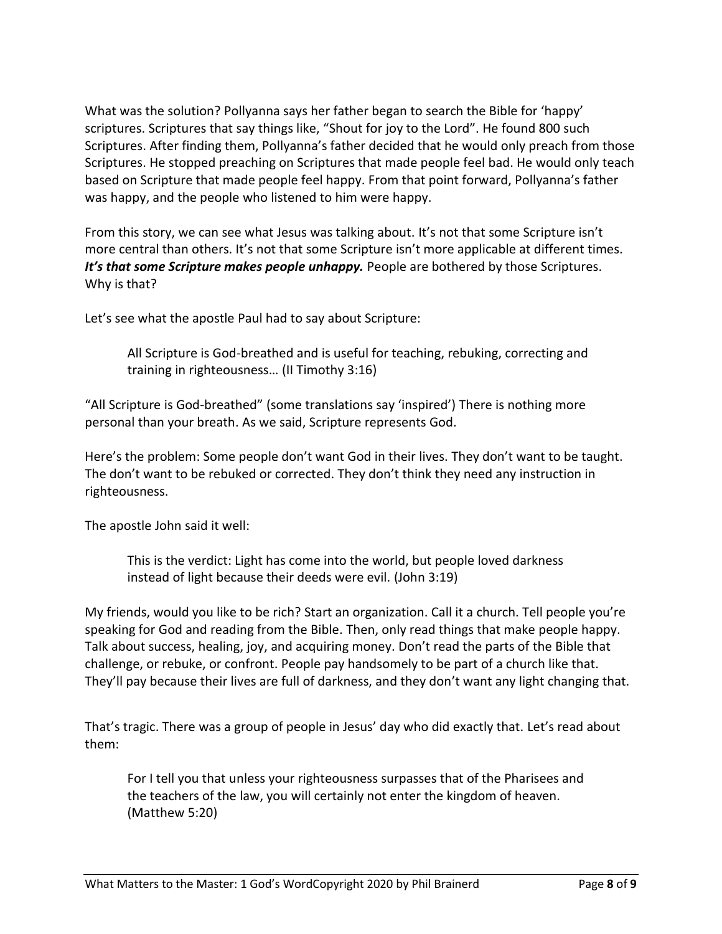What was the solution? Pollyanna says her father began to search the Bible for 'happy' scriptures. Scriptures that say things like, "Shout for joy to the Lord". He found 800 such Scriptures. After finding them, Pollyanna's father decided that he would only preach from those Scriptures. He stopped preaching on Scriptures that made people feel bad. He would only teach based on Scripture that made people feel happy. From that point forward, Pollyanna's father was happy, and the people who listened to him were happy.

From this story, we can see what Jesus was talking about. It's not that some Scripture isn't more central than others. It's not that some Scripture isn't more applicable at different times. It's that some Scripture makes people unhappy. People are bothered by those Scriptures. Why is that?

Let's see what the apostle Paul had to say about Scripture:

All Scripture is God-breathed and is useful for teaching, rebuking, correcting and training in righteousness… (II Timothy 3:16)

"All Scripture is God-breathed" (some translations say 'inspired') There is nothing more personal than your breath. As we said, Scripture represents God.

Here's the problem: Some people don't want God in their lives. They don't want to be taught. The don't want to be rebuked or corrected. They don't think they need any instruction in righteousness.

The apostle John said it well:

This is the verdict: Light has come into the world, but people loved darkness instead of light because their deeds were evil. (John 3:19)

My friends, would you like to be rich? Start an organization. Call it a church. Tell people you're speaking for God and reading from the Bible. Then, only read things that make people happy. Talk about success, healing, joy, and acquiring money. Don't read the parts of the Bible that challenge, or rebuke, or confront. People pay handsomely to be part of a church like that. They'll pay because their lives are full of darkness, and they don't want any light changing that.

That's tragic. There was a group of people in Jesus' day who did exactly that. Let's read about them:

For I tell you that unless your righteousness surpasses that of the Pharisees and the teachers of the law, you will certainly not enter the kingdom of heaven. (Matthew 5:20)